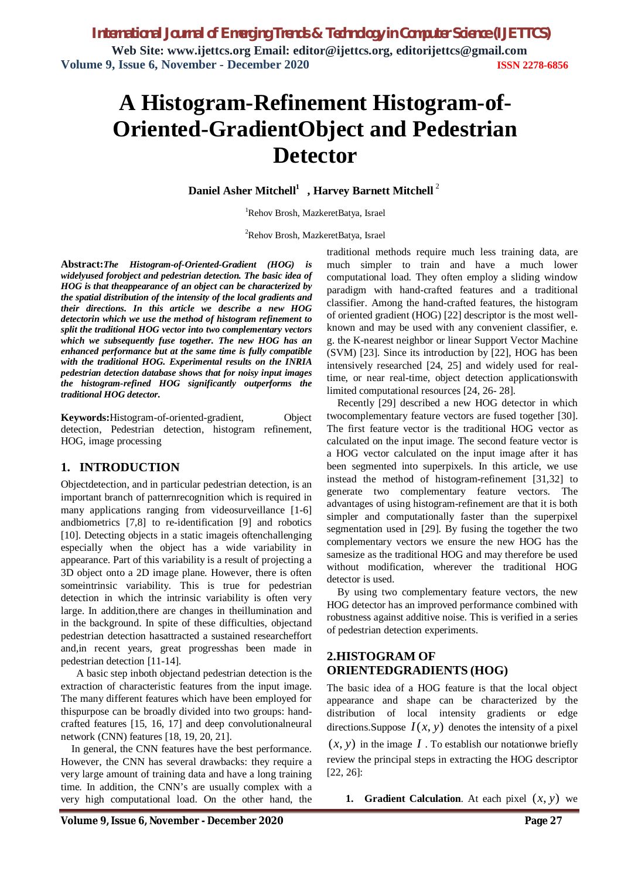*International Journal of Emerging Trends & Technology in Computer Science (IJETTCS)* **Web Site: www.ijettcs.org Email: editor@ijettcs.org, editorijettcs@gmail.com Volume 9, Issue 6, November - December 2020 ISSN 2278-6856**

# **A Histogram-Refinement Histogram-of-Oriented-GradientObject and Pedestrian Detector**

**Daniel Asher Mitchell<sup>1</sup> , Harvey Barnett Mitchell** <sup>2</sup>

<sup>1</sup>Rehov Brosh, MazkeretBatya, Israel

<sup>2</sup>Rehov Brosh, MazkeretBatya, Israel

**Abstract:***The Histogram-of-Oriented-Gradient (HOG) is widelyused forobject and pedestrian detection. The basic idea of HOG is that theappearance of an object can be characterized by the spatial distribution of the intensity of the local gradients and their directions. In this article we describe a new HOG detectorin which we use the method of histogram refinement to split the traditional HOG vector into two complementary vectors which we subsequently fuse together. The new HOG has an enhanced performance but at the same time is fully compatible with the traditional HOG. Experimental results on the INRIA pedestrian detection database shows that for noisy input images the histogram-refined HOG significantly outperforms the traditional HOG detector.* 

**Keywords:**Histogram-of-oriented-gradient, Object detection, Pedestrian detection, histogram refinement, HOG, image processing

#### **1. INTRODUCTION**

Objectdetection, and in particular pedestrian detection, is an important branch of patternrecognition which is required in many applications ranging from videosurveillance [1-6] andbiometrics [7,8] to re-identification [9] and robotics [10]. Detecting objects in a static image is often challenging especially when the object has a wide variability in appearance. Part of this variability is a result of projecting a 3D object onto a 2D image plane. However, there is often someintrinsic variability. This is true for pedestrian detection in which the intrinsic variability is often very large. In addition,there are changes in theillumination and in the background. In spite of these difficulties, objectand pedestrian detection hasattracted a sustained researcheffort and,in recent years, great progresshas been made in pedestrian detection [11-14].

 A basic step inboth objectand pedestrian detection is the extraction of characteristic features from the input image. The many different features which have been employed for thispurpose can be broadly divided into two groups: handcrafted features [15, 16, 17] and deep convolutionalneural network (CNN) features [18, 19, 20, 21].

In general, the CNN features have the best performance. However, the CNN has several drawbacks: they require a very large amount of training data and have a long training time. In addition, the CNN's are usually complex with a very high computational load. On the other hand, the traditional methods require much less training data, are much simpler to train and have a much lower computational load. They often employ a sliding window paradigm with hand-crafted features and a traditional classifier. Among the hand-crafted features, the histogram of oriented gradient (HOG) [22] descriptor is the most wellknown and may be used with any convenient classifier, e. g. the K-nearest neighbor or linear Support Vector Machine (SVM) [23]. Since its introduction by [22], HOG has been intensively researched [24, 25] and widely used for realtime, or near real-time, object detection applicationswith limited computational resources [24, 26- 28].

Recently [29] described a new HOG detector in which twocomplementary feature vectors are fused together [30]. The first feature vector is the traditional HOG vector as calculated on the input image. The second feature vector is a HOG vector calculated on the input image after it has been segmented into superpixels. In this article, we use instead the method of histogram-refinement [31,32] to generate two complementary feature vectors. The advantages of using histogram-refinement are that it is both simpler and computationally faster than the superpixel segmentation used in [29]. By fusing the together the two complementary vectors we ensure the new HOG has the samesize as the traditional HOG and may therefore be used without modification, wherever the traditional HOG detector is used.

By using two complementary feature vectors, the new HOG detector has an improved performance combined with robustness against additive noise. This is verified in a series of pedestrian detection experiments.

#### **2.HISTOGRAM OF ORIENTEDGRADIENTS (HOG)**

The basic idea of a HOG feature is that the local object appearance and shape can be characterized by the distribution of local intensity gradients or edge directions. Suppose  $I(x, y)$  denotes the intensity of a pixel

 $(x, y)$  in the image *I*. To establish our notationwe briefly review the principal steps in extracting the HOG descriptor [22, 26]:

**1. Gradient Calculation**. At each pixel  $(x, y)$  we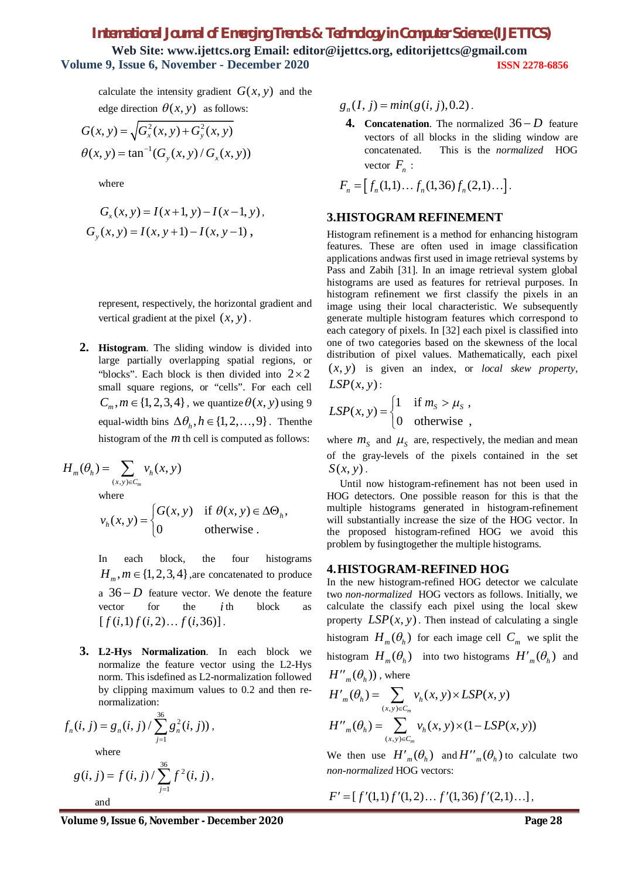## *International Journal of Emerging Trends & Technology in Computer Science (IJETTCS)* **Web Site: www.ijettcs.org Email: editor@ijettcs.org, editorijettcs@gmail.com Volume 9, Issue 6, November - December 2020 ISSN 2278-6856**

calculate the intensity gradient  $G(x, y)$  and the edge direction  $\theta(x, y)$  as follows:

$$
G(x, y) = \sqrt{G_x^2(x, y) + G_y^2(x, y)}
$$
  
 
$$
\theta(x, y) = \tan^{-1}(G_y(x, y) / G_x(x, y))
$$

where

$$
G_x(x, y) = I(x+1, y) - I(x-1, y),
$$
  
\n
$$
G_y(x, y) = I(x, y+1) - I(x, y-1),
$$

represent, respectively, the horizontal gradient and vertical gradient at the pixel  $(x, y)$ .

**2. Histogram**. The sliding window is divided into large partially overlapping spatial regions, or "blocks". Each block is then divided into  $2 \times 2$ small square regions, or "cells". For each cell  $C_m$ ,  $m \in \{1, 2, 3, 4\}$ , we quantize  $\theta(x, y)$  using 9 equal-width bins  $\Delta\theta_h, h \in \{1, 2, \ldots, 9\}$ . Then the histogram of the *m* th cell is computed as follows:

$$
H_m(\theta_h) = \sum_{(x,y)\in C_m} v_h(x,y)
$$

where

$$
v_h(x, y) = \begin{cases} G(x, y) & \text{if } \theta(x, y) \in \Delta \Theta_h, \\ 0 & \text{otherwise.} \end{cases}
$$

In each block, the four histograms  $H_m, m \in \{1,2,3,4\}$ , are concatenated to produce a  $36 - D$  feature vector. We denote the feature vector for the *i* th block as  $[f(i,1) f(i,2) \dots f(i,36)]$ .

**3. L2-Hys Normalization**. In each block we normalize the feature vector using the L2-Hys norm. This isdefined as L2-normalization followed by clipping maximum values to 0.2 and then renormalization:

$$
f_n(i, j) = g_n(i, j) / \sum_{j=1}^{36} g_n^2(i, j)),
$$
  
where  

$$
g(i, j) = f(i, j) / \sum_{j=1}^{36} f^2(i, j),
$$

and

$$
g_n(I, j) = min(g(i, j), 0.2)
$$
.

**4. Concatenation**. The normalized  $36-D$  feature vectors of all blocks in the sliding window are concatenated. This is the *normalized* HOG vector  $F_n$ :

$$
F_n = [f_n(1,1)\dots f_n(1,36) f_n(2,1)\dots].
$$

#### **3.HISTOGRAM REFINEMENT**

Histogram refinement is a method for enhancing histogram features. These are often used in image classification applications andwas first used in image retrieval systems by Pass and Zabih [31]. In an image retrieval system global histograms are used as features for retrieval purposes. In histogram refinement we first classify the pixels in an image using their local characteristic. We subsequently generate multiple histogram features which correspond to each category of pixels. In [32] each pixel is classified into one of two categories based on the skewness of the local distribution of pixel values. Mathematically, each pixel  $(x, y)$  is given an index, or *local skew property*,  $LSP(x, y)$ :

$$
LSP(x, y) = \begin{cases} 1 & \text{if } m_s > \mu_s ,\\ 0 & \text{otherwise} , \end{cases}
$$

where  $m<sub>S</sub>$  and  $\mu<sub>S</sub>$  are, respectively, the median and mean of the gray-levels of the pixels contained in the set  $S(x, y)$ .

 Until now histogram-refinement has not been used in HOG detectors. One possible reason for this is that the multiple histograms generated in histogram-refinement will substantially increase the size of the HOG vector. In the proposed histogram-refined HOG we avoid this problem by fusingtogether the multiple histograms.

#### **4.HISTOGRAM-REFINED HOG**

In the new histogram-refined HOG detector we calculate two *non-normalized* HOG vectors as follows. Initially, we calculate the classify each pixel using the local skew property  $LSP(x, y)$ . Then instead of calculating a single histogram  $H_m(\theta_h)$  for each image cell  $C_m$  we split the histogram  $H_m(\theta_h)$  into two histograms  $H'_m(\theta_h)$  and  $H''_{m}(\theta_{h})$ , where

$$
H'_{m}(\theta_{h}) = \sum_{(x,y)\in C_{m}} v_{h}(x, y) \times LSP(x, y)
$$
  

$$
H''_{m}(\theta_{h}) = \sum_{(x,y)\in C_{m}} v_{h}(x, y) \times (1 - LSP(x, y))
$$

We then use  $H'_{m}(\theta_h)$  and  $H''_{m}(\theta_h)$  to calculate two *non-normalized* HOG vectors:

$$
F' = [f'(1,1) f'(1,2) \dots f'(1,36) f'(2,1) \dots],
$$

Volume 9, Issue 6, November - December 2020 **Page 28** 

1 *j*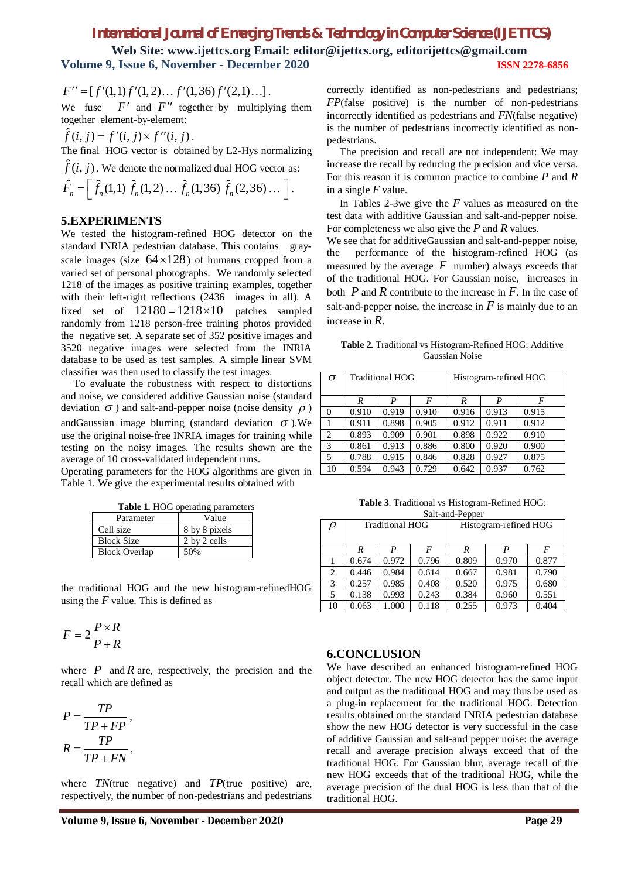# *International Journal of Emerging Trends & Technology in Computer Science (IJETTCS)*

**Web Site: www.ijettcs.org Email: editor@ijettcs.org, editorijettcs@gmail.com Volume 9, Issue 6, November - December 2020 ISSN 2278-6856**

$$
F'' = [f'(1,1)f'(1,2)... f'(1,36) f'(2,1)...].
$$

We fuse  $F'$  and  $F''$  together by multiplying them together element-by-element:

$$
\hat{f}(i, j) = f'(i, j) \times f''(i, j).
$$

The final HOG vector is obtained by L2-Hys normalizing

 $\hat{f}(i, j)$ . We denote the normalized dual HOG vector as:

$$
\hat{F}_n = \left[ \hat{f}_n(1,1) \; \hat{f}_n(1,2) \ldots \hat{f}_n(1,36) \; \hat{f}_n(2,36) \ldots \; \right].
$$

#### **5.EXPERIMENTS**

We tested the histogram-refined HOG detector on the standard INRIA pedestrian database. This contains grayscale images (size  $64 \times 128$ ) of humans cropped from a varied set of personal photographs. We randomly selected 1218 of the images as positive training examples, together with their left-right reflections (2436 images in all). A fixed set of  $12180 = 1218 \times 10$  patches sampled randomly from 1218 person-free training photos provided the negative set. A separate set of 352 positive images and 3520 negative images were selected from the INRIA database to be used as test samples. A simple linear SVM classifier was then used to classify the test images.

 To evaluate the robustness with respect to distortions and noise, we considered additive Gaussian noise (standard deviation  $\sigma$ ) and salt-and-pepper noise (noise density  $\rho$ ) andGaussian image blurring (standard deviation  $\sigma$ ). We use the original noise-free INRIA images for training while testing on the noisy images. The results shown are the average of 10 cross-validated independent runs.

Operating parameters for the HOG algorithms are given in Table 1. We give the experimental results obtained with

| Table 1. HOG operating parameters |               |  |  |  |  |
|-----------------------------------|---------------|--|--|--|--|
| Parameter                         | Value         |  |  |  |  |
| Cell size                         | 8 by 8 pixels |  |  |  |  |
| <b>Block Size</b>                 | 2 by 2 cells  |  |  |  |  |
| <b>Block Overlap</b>              | 50%           |  |  |  |  |

the traditional HOG and the new histogram-refinedHOG using the *F* value. This is defined as

$$
F = 2\frac{P \times R}{P + R}
$$

where  $P$  and  $R$  are, respectively, the precision and the recall which are defined as

$$
P = \frac{TP}{TP + FP},
$$
  

$$
R = \frac{TP}{TP + FN},
$$

where *TN*(true negative) and *TP*(true positive) are, respectively, the number of non-pedestrians and pedestrians correctly identified as non-pedestrians and pedestrians; *FP*(false positive) is the number of non-pedestrians incorrectly identified as pedestrians and *FN*(false negative) is the number of pedestrians incorrectly identified as nonpedestrians.

 The precision and recall are not independent: We may increase the recall by reducing the precision and vice versa. For this reason it is common practice to combine *P* and *R* in a single *F* value.

 In Tables 2-3we give the *F* values as measured on the test data with additive Gaussian and salt-and-pepper noise. For completeness we also give the *P* and *R* values.

We see that for additiveGaussian and salt-and-pepper noise, the performance of the histogram-refined HOG (as measured by the average  $F$  number) always exceeds that of the traditional HOG. For Gaussian noise, increases in both *P* and *R* contribute to the increase in *F*. In the case of salt-and-pepper noise, the increase in  $F$  is mainly due to an increase in *R*.

**Table 2**. Traditional vs Histogram-Refined HOG: Additive Gaussian Noise

| $\sigma$ | <b>Traditional HOG</b> |       |       | Histogram-refined HOG |       |       |
|----------|------------------------|-------|-------|-----------------------|-------|-------|
|          | R                      | P     | F     | R                     | P     | F     |
| 0        | 0.910                  | 0.919 | 0.910 | 0.916                 | 0.913 | 0.915 |
|          | 0.911                  | 0.898 | 0.905 | 0.912                 | 0.911 | 0.912 |
| 2        | 0.893                  | 0.909 | 0.901 | 0.898                 | 0.922 | 0.910 |
| 3        | 0.861                  | 0.913 | 0.886 | 0.800                 | 0.920 | 0.900 |
| 5        | 0.788                  | 0.915 | 0.846 | 0.828                 | 0.927 | 0.875 |
| 10       | 0.594                  | 0.943 | 0.729 | 0.642                 | 0.937 | 0.762 |

**Table 3**. Traditional vs Histogram-Refined HOG: Salt-and-Pepper

| $\rho$ | <b>Traditional HOG</b> |       |       | Histogram-refined HOG |       |       |
|--------|------------------------|-------|-------|-----------------------|-------|-------|
|        | R                      | P     | F     | R                     | P     | F     |
|        | 0.674                  | 0.972 | 0.796 | 0.809                 | 0.970 | 0.877 |
| 2      | 0.446                  | 0.984 | 0.614 | 0.667                 | 0.981 | 0.790 |
| 3      | 0.257                  | 0.985 | 0.408 | 0.520                 | 0.975 | 0.680 |
| 5      | 0.138                  | 0.993 | 0.243 | 0.384                 | 0.960 | 0.551 |
| 10     | 0.063                  | 1.000 | 0.118 | 0.255                 | 0.973 | 0.404 |

#### **6.CONCLUSION**

We have described an enhanced histogram-refined HOG object detector. The new HOG detector has the same input and output as the traditional HOG and may thus be used as a plug-in replacement for the traditional HOG. Detection results obtained on the standard INRIA pedestrian database show the new HOG detector is very successful in the case of additive Gaussian and salt-and pepper noise: the average recall and average precision always exceed that of the traditional HOG. For Gaussian blur, average recall of the new HOG exceeds that of the traditional HOG, while the average precision of the dual HOG is less than that of the traditional HOG.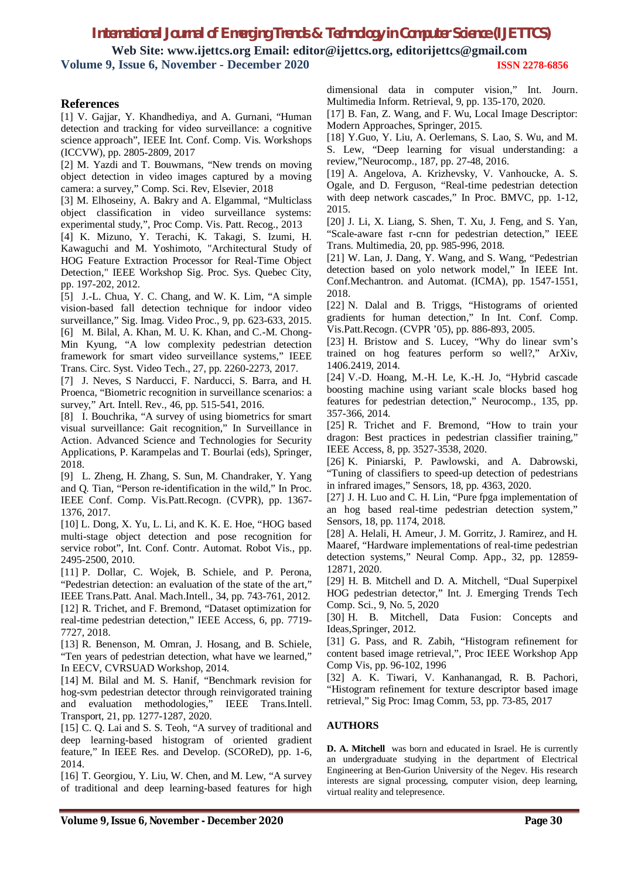### *International Journal of Emerging Trends & Technology in Computer Science (IJETTCS)*

**Web Site: www.ijettcs.org Email: editor@ijettcs.org, editorijettcs@gmail.com Volume 9, Issue 6, November - December 2020 ISSN 2278-6856**

#### **References**

[1] V. Gajjar, Y. Khandhediya, and A. Gurnani, "Human detection and tracking for video surveillance: a cognitive science approach", IEEE Int. Conf. Comp. Vis. Workshops (ICCVW), pp. 2805-2809, 2017

[2] M. Yazdi and T. Bouwmans, "New trends on moving object detection in video images captured by a moving camera: a survey," Comp. Sci. Rev, Elsevier, 2018

[3] M. Elhoseiny, A. Bakry and A. Elgammal, "Multiclass object classification in video surveillance systems: experimental study,", Proc Comp. Vis. Patt. Recog., 2013

[4] K. Mizuno, Y. Terachi, K. Takagi, S. Izumi, H. Kawaguchi and M. Yoshimoto, "Architectural Study of HOG Feature Extraction Processor for Real-Time Object Detection," IEEE Workshop Sig. Proc. Sys. Quebec City, pp. 197-202, 2012.

[5] J.-L. Chua, Y. C. Chang, and W. K. Lim, "A simple vision-based fall detection technique for indoor video surveillance," Sig. Imag. Video Proc., 9, pp. 623-633, 2015. [6] M. Bilal, A. Khan, M. U. K. Khan, and C.-M. Chong-

Min Kyung, "A low complexity pedestrian detection framework for smart video surveillance systems," IEEE Trans. Circ. Syst. Video Tech., 27, pp. 2260-2273, 2017.

[7] J. Neves, S Narducci, F. Narducci, S. Barra, and H. Proenca, "Biometric recognition in surveillance scenarios: a survey," Art. Intell. Rev., 46, pp. 515-541, 2016.

[8] I. Bouchrika, "A survey of using biometrics for smart visual surveillance: Gait recognition," In Surveillance in Action. Advanced Science and Technologies for Security Applications, P. Karampelas and T. Bourlai (eds), Springer, 2018.

[9] L. Zheng, H. Zhang, S. Sun, M. Chandraker, Y. Yang and Q. Tian, "Person re-identification in the wild," In Proc. IEEE Conf. Comp. Vis.Patt.Recogn. (CVPR), pp. 1367- 1376, 2017.

[10] L. Dong, X. Yu, L. Li, and K. K. E. Hoe, "HOG based multi-stage object detection and pose recognition for service robot", Int. Conf. Contr. Automat. Robot Vis., pp. 2495-2500, 2010.

[11] P. Dollar, C. Wojek, B. Schiele, and P. Perona, "Pedestrian detection: an evaluation of the state of the art," IEEE Trans.Patt. Anal. Mach.Intell., 34, pp. 743-761, 2012.

[12] R. Trichet, and F. Bremond, "Dataset optimization for real-time pedestrian detection," IEEE Access, 6, pp. 7719- 7727, 2018.

[13] R. Benenson, M. Omran, J. Hosang, and B. Schiele, "Ten years of pedestrian detection, what have we learned," In EECV, CVRSUAD Workshop, 2014.

[14] M. Bilal and M. S. Hanif, "Benchmark revision for hog-svm pedestrian detector through reinvigorated training and evaluation methodologies," IEEE Trans.Intell. Transport, 21, pp. 1277-1287, 2020.

[15] C. Q. Lai and S. S. Teoh, "A survey of traditional and deep learning-based histogram of oriented gradient feature," In IEEE Res. and Develop. (SCOReD), pp. 1-6, 2014.

[16] T. Georgiou, Y. Liu, W. Chen, and M. Lew, "A survey of traditional and deep learning-based features for high [17] B. Fan, Z. Wang, and F. Wu, Local Image Descriptor: Modern Approaches, Springer, 2015.

[18] Y.Guo, Y. Liu, A. Oerlemans, S. Lao, S. Wu, and M. S. Lew, "Deep learning for visual understanding: a review,"Neurocomp., 187, pp. 27-48, 2016.

[19] A. Angelova, A. Krizhevsky, V. Vanhoucke, A. S. Ogale, and D. Ferguson, "Real-time pedestrian detection with deep network cascades," In Proc. BMVC, pp. 1-12, 2015.

[20] J. Li, X. Liang, S. Shen, T. Xu, J. Feng, and S. Yan, "Scale-aware fast r-cnn for pedestrian detection," IEEE Trans. Multimedia, 20, pp. 985-996, 2018.

[21] W. Lan, J. Dang, Y. Wang, and S. Wang, "Pedestrian detection based on yolo network model," In IEEE Int. Conf.Mechantron. and Automat. (ICMA), pp. 1547-1551, 2018.

[22] N. Dalal and B. Triggs, "Histograms of oriented gradients for human detection," In Int. Conf. Comp. Vis.Patt.Recogn. (CVPR '05), pp. 886-893, 2005.

[23] H. Bristow and S. Lucey, "Why do linear svm's trained on hog features perform so well?," ArXiv, 1406.2419, 2014.

[24] V.-D. Hoang, M.-H. Le, K.-H. Jo, "Hybrid cascade boosting machine using variant scale blocks based hog features for pedestrian detection," Neurocomp., 135, pp. 357-366, 2014.

[25] R. Trichet and F. Bremond, "How to train your dragon: Best practices in pedestrian classifier training," IEEE Access, 8, pp. 3527-3538, 2020.

[26] K. Piniarski, P. Pawlowski, and A. Dabrowski, "Tuning of classifiers to speed-up detection of pedestrians in infrared images," Sensors, 18, pp. 4363, 2020.

[27] J. H. Luo and C. H. Lin, "Pure fpga implementation of an hog based real-time pedestrian detection system," Sensors, 18, pp. 1174, 2018.

[28] A. Helali, H. Ameur, J. M. Gorritz, J. Ramirez, and H. Maaref, "Hardware implementations of real-time pedestrian detection systems," Neural Comp. App., 32, pp. 12859- 12871, 2020.

[29] H. B. Mitchell and D. A. Mitchell, "Dual Superpixel HOG pedestrian detector," Int. J. Emerging Trends Tech Comp. Sci., 9, No. 5, 2020

[30] H. B. Mitchell, Data Fusion: Concepts and Ideas,Springer, 2012.

[31] G. Pass, and R. Zabih, "Histogram refinement for content based image retrieval,", Proc IEEE Workshop App Comp Vis, pp. 96-102, 1996

[32] A. K. Tiwari, V. Kanhanangad, R. B. Pachori, "Histogram refinement for texture descriptor based image retrieval," Sig Proc: Imag Comm, 53, pp. 73-85, 2017

#### **AUTHORS**

**D. A. Mitchell** was born and educated in Israel. He is currently an undergraduate studying in the department of Electrical Engineering at Ben-Gurion University of the Negev. His research interests are signal processing, computer vision, deep learning, virtual reality and telepresence.